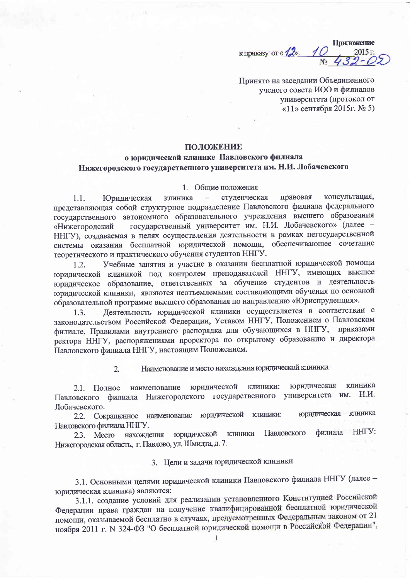Приложение к приказу от « $\frac{1}{2}$ ». 1  $2015r$ 

Принято на заседании Объединенного ученого совета ИОО и филиалов университета (протокол от «11» сентября 2015г. № 5)

## **ПОЛОЖЕНИЕ**

# о юридической клинике Павловского филиала Нижегородского государственного университета им. Н.И. Лобачевского

### 1. Общие положения

консультация, клиника студенческая правовая  $\equiv$  $1.1.$ Юридическая представляющая собой структурное подразделение Павловского филиала федерального государственного автономного образовательного учреждения высшего образования государственный университет им. Н.И. Лобачевского» (далее -«Нижегородский ННГУ), создаваемая в целях осуществления деятельности в рамках негосударственной системы оказания бесплатной юридической помощи, обеспечивающее сочетание теоретического и практического обучения студентов ННГУ.

Учебные занятия и участие в оказании бесплатной юридической помощи  $1.2.$ юридической клиникой под контролем преподавателей ННГУ, имеющих высшее юридическое образование, ответственных за обучение студентов и деятельность юридической клиники, являются неотъемлемыми составляющими обучения по основной образовательной программе высшего образования по направлению «Юриспруденция».

Деятельность юридической клиники осуществляется в соответствии с  $1.3.$ законодательством Российской Федерации, Уставом ННГУ, Положением о Павловском филиале, Правилами внутреннего распорядка для обучающихся в ННГУ, приказами ректора ННГУ, распоряжениями проректора по открытому образованию и директора Павловского филиала ННГУ, настоящим Положением.

#### Наименование и место нахождения юридической клиники  $\overline{2}$ .

юридическая клиника наименование юридической клиники: 2.1. Полное университета им. Н.И. филиала Нижегородского государственного Павловского Лобачевского.

юридическая клиника Сокращенное наименование юридической КЛИНИКИ:  $2.2.$ Павловского филиала ННГУ.

HHI'Y: филиала **КЛИНИКИ** Павловского юридической 2.3. Mecro нахождения Нижегородская область, г. Павлово, ул. Шмидта, д. 7.

#### 3. Цели и задачи юридической клиники

3.1. Основными целями юридической клиники Павловского филиала ННГУ (далее юридическая клиника) являются:

3.1.1. создание условий для реализации установленного Конституцией Российской Федерации права граждан на получение квалифицированной бесплатной юридической помощи, оказываемой бесплатно в случаях, предусмотренных Федеральным законом от 21 ноября 2011 г. N 324-ФЗ "О бесплатной юридической помощи в Российской Федерации",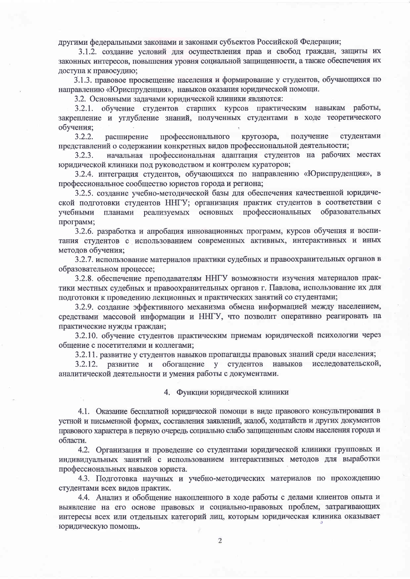другими федеральными законами и законами субъектов Российской Федерации;

3.1.2. создание условий для осуществления прав и свобод граждан, защиты их законных интересов, повышения уровня социальной защищенности, а также обеспечения их доступа к правосудию;

3.1.3. правовое просвещение населения и формирование у студентов, обучающихся по направлению «Юриспруденция», навыков оказания юридической помощи.

3.2. Основными задачами юридической клиники являются:

обучение студентов старших курсов практическим навыкам работы,  $3.2.1.$ закрепление и углубление знаний, полученных студентами в ходе теоретического обучения;

студентами  $3.2.2.$ расширение профессионального кругозора, получение представлений о содержании конкретных видов профессиональной деятельности;

начальная профессиональная адаптация студентов на рабочих местах  $3.2.3.$ юридической клиники под руководством и контролем кураторов;

3.2.4. интеграция студентов, обучающихся по направлению «Юриспруденция», в профессиональное сообщество юристов города и региона;

3.2.5. создание учебно-методической базы для обеспечения качественной юридической подготовки студентов ННГУ; организация практик студентов в соответствии с основных профессиональных образовательных учебными планами реализуемых программ;

3.2.6. разработка и апробация инновационных программ, курсов обучения и воспитания студентов с использованием современных активных, интерактивных и иных методов обучения;

3.2.7. использование материалов практики судебных и правоохранительных органов в образовательном процессе;

3.2.8. обеспечение преподавателям ННГУ возможности изучения материалов практики местных судебных и правоохранительных органов г. Павлова, использование их для подготовки к проведению лекционных и практических занятий со студентами;

3.2.9. создание эффективного механизма обмена информацией между населением, средствами массовой информации и ННГУ, что позволит оперативно реагировать на практические нужды граждан;

3.2.10. обучение студентов практическим приемам юридической психологии через общение с посетителями и коллегами;

3.2.11. развитие у студентов навыков пропаганды правовых знаний среди населения;

развитие и обогащение у студентов навыков исследовательской,  $3.2.12.$ аналитической деятельности и умения работы с документами.

#### 4. Функции юридической клиники

4.1. Оказание бесплатной юридической помощи в виде правового консультирования в устной и письменной формах, составления заявлений, жалоб, ходатайств и других документов правового характера в первую очередь социально слабо защищенным слоям населения города и области.

4.2. Организация и проведение со студентами юридической клиники групповых и индивидуальных занятий с использованием интерактивных методов для выработки профессиональных навыков юриста.

4.3. Подготовка научных и учебно-методических материалов по прохождению студентами всех видов практик.

4.4. Анализ и обобщение накопленного в ходе работы с делами клиентов опыта и выявление на его основе правовых и социально-правовых проблем, затрагивающих интересы всех или отдельных категорий лиц, которым юридическая клиника оказывает юридическую помощь.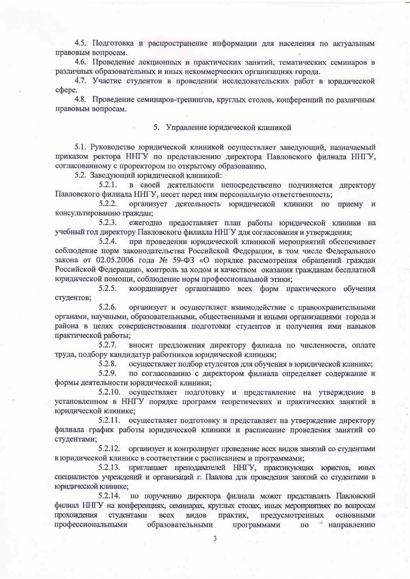4.5. Подготовка и распространение информации для населения по актуальным правовым вопросам.

4.6. Проведение лекционных и практических занятий, тематических семинаров в различных образовательных и иных некоммерческих организациях города.

4.7. Участие студентов в провелении исследовательских работ в юрилической c<sub>o</sub>bepe.

4.8. Проведение семинаров-тренингов, круглых столов, конференций по различным правовым вопросам.

#### 5. Управление юридической клиникой

5.1. Руководство юридической клиникой осуществляет заведующий, назначаемый приказом ректора ННГУ по представлению директора Павловского филиала ННГУ, согласованному с проректором по открытому образованию.

5.2. Заведующий юридической клиникой:

 $5.2.1.$ в своей деятельности непосредственно полчиняется директору Павловского филиала ННГУ, несет перед ним персональную ответственность;

5.2.2. организует деятельность юридической клиники по приему и консультированию граждан;

 $5.2.3.$ ежегодно предоставляет план работы юридической клиники на учебный год директору Павловского филиала ННГУ для согласования и утверждения;

5.2.4. при проведении юридической клиникой мероприятий обеспечивает соблюдение норм законодательства Российской Федерации, в том числе Федерального закона от 02.05.2006 года № 59-ФЗ «О порядке рассмотрения обращений граждан Российской Федерации», контроль за ходом и качеством оказания гражданам бесплатной юридической помощи, соблюдение норм профессиональной этики;

 $5.2.5.$ координирует организацию всех форм практического обучения студентов;

5.2.6. организует и осуществляет взаимодействие с правоохранительными органами, научными, образовательными, общественными и иными организациями города и района в целях совершенствования подготовки студентов и получения ими навыков практической работы;

 $5.2.7.$ вносит предложения директору филиала по численности, оплате труда, подбору кандидатур работников юридической клиники;

> $5.2.8.$ осуществляет подбор студентов для обучения в юридической клинике;

5.2.9. по согласованию с директором филиала определяет содержание и формы деятельности юридической клиники;

5.2.10. осуществляет подготовку и представление на утверждение в установленном в ННГУ порядке программ теоретических и практических занятий в юридической клинике:

5.2.11. осуществляет подготовку и представляет на утверждение директору филиала график работы юридической клиники и расписание проведения занятий со студентами;

5.2.12. организует и контролирует проведение всех видов занятий со студентами в юридической клинике в соответствии с расписанием и программами;

5.2.13. приглашает преподавателей ННГУ, практикующих юристов, иных специалистов учреждений и организаций г. Павлова для проведения занятий со студентами в юрилической клинике:

5.2.14. по поручению директора филиала может представлять Павловский филиал ННГУ на конференциях, семинарах, круглых столах, иных мероприятиях по вопросам прохождения студентами **BCCX** видов практик, предусмотренных основными профессиональными образовательными • направлению программами  $\Pi$ <sup>O</sup>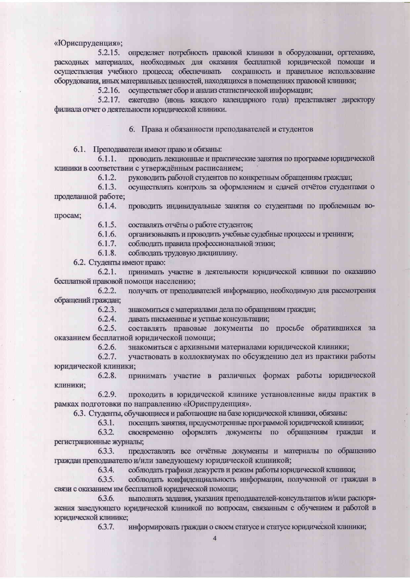«Юриспруденция»:

5.2.15. определяет потребность правовой клиники в оборудовании, оргтехнике, расходных материалах, необходимых для оказания бесплатной юридической помощи и осуществления учебного процесса; обеспечивать сохранность и правильное использование оборудования, иных материальных ценностей, находящихся в помещениях правовой клиники;

5.2.16. осуществляет сбор и анализ статистической информации;

5.2.17. ежегодно (июнь каждого календарного года) представляет директору филиала отчет о деятельности юридической клиники.

6. Права и обязанности преподавателей и студентов

6.1. Преподаватели имеют право и обязаны:

 $6.1.1.$ проводить лекционные и практические занятия по программе юридической клиники в соответствии с утверждённым расписанием;

> $6.1.2.$ руководить работой студентов по конкретным обращениям граждан;

 $6.1.3.$ осуществлять контроль за оформлением и слачей отчётов студентами о проделанной работе;

 $6.1.4.$ проводить индивидуальные занятия со студентами по проблемным вопросам;

> $6.1.5.$ составлять отчёты о работе студентов;

 $6.1.6.$ организовывать и проводить учебные судебные процессы и тренинги;

 $6.1.7.$ соблюдать правила профессиональной этики;

 $6.1.8.$ соблюдать трудовую дисциплину.

6.2. Студенты имеют право:

 $6.2.1.$ принимать участие в деятельности юридической клиники по оказанию бесплатной правовой помощи населению;

 $6.2.2.$ получать от преподавателей информацию, необходимую для рассмотрения обращений граждан;

> $6.2.3.$ знакомиться с материалами дела по обращениям граждан;

 $6.2.4.$ давать письменные и устные консультации;

 $6.2.5.$ составлять правовые документы по просьбе обратившихся за оказанием бесплатной юридической помощи;

> 6.2.6. знакомиться с архивными материалами юридической клиники;

 $6.2.7.$ участвовать в коллоквиумах по обсуждению дел из практики работы юридической клиники;

 $6.2.8.$ принимать участие в различных формах работы юридической клиники;

6.2.9. проходить в юридической клинике установленные виды практик в рамках подготовки по направлению «Юриспруденция».

6.3. Студенты, обучающиеся и работающие на базе юридической клиники, обязаны:

6.3.1. посещать занятия, предусмотренные программой юридической клиники;

6.3.2. своевременно оформлять документы по обращениям граждан и регистрационные журналы;

предоставлять все отчётные документы и материалы по обращению 6.3.3. граждан преподавателю и/или заведующему юридической клиникой;

> 6.3.4. соблюдать графики дежурств и режим работы юридической клиники;

6.3.5. соблюдать конфиденциальность информации, полученной от граждан в связи с оказанием им бесплатной юридической помощи;

выполнять задания, указания преподавателей-консультантов и/или распоря-6.3.6. жения заведующего юридической клиникой по вопросам, связанным с обучением и работой в юридической клинике;

> информировать граждан о своем статусе и статусе юридической клиники; 6.3.7.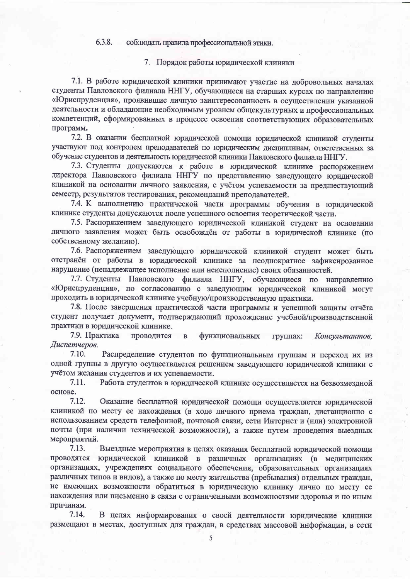#### 6.3.8. соблюдать правила профессиональной этики.

#### 7. Порядок работы юридической клиники

7.1. В работе юридической клиники принимают участие на добровольных началах студенты Павловского филиала ННГУ, обучающиеся на старших курсах по направлению «Юриспруденция», проявившие личную заинтересованность в осуществлении указанной деятельности и обладающие необходимым уровнем общекультурных и профессиональных компетенций, сформированных в процессе освоения соответствующих образовательных программ.

7.2. В оказании бесплатной юридической помощи юридической клиникой студенты участвуют под контролем преподавателей по юридическим диспициинам, ответственных за обучение студентов и деятельность юридической клиники Павловского филиала ННГУ.

7.3. Студенты допускаются к работе в юридической клинике распоряжением директора Павловского филиала ННГУ по представлению заведующего юридической клиникой на основании личного заявления, с учётом успеваемости за предшествующий семестр, результатов тестирования, рекомендаций преподавателей.

7.4. К выполнению практической части программы обучения в юридической клинике студенты допускаются после успешного освоения теоретической части.

7.5. Распоряжением заведующего юридической клиникой студент на основании личного заявления может быть освобождён от работы в юридической клинике (по собственному желанию).

7.6. Распоряжением заведующего юридической клиникой студент может быть отстранён от работы в юридической клинике за неоднократное зафиксированное нарушение (ненадлежащее исполнение или неисполнение) своих обязанностей.

7.7. Студенты Павловского филиала ННГУ, обучающиеся по направлению «Юриспруденция», по согласованию с заведующим юридической клиникой могут проходить в юридической клинике учебную/производственную практики.

7.8. После завершения практической части программы и успешной защиты отчёта студент получает документ, подтверждающий прохождение учебной/производственной практики в юридической клинике.

7.9. Практика проводится функциональных  $\mathbf{B}$ группах: Консультантов. Диспетчеров.

7.10. Распределение студентов по функциональным группам и переход их из одной группы в другую осуществляется решением заведующего юридической клиники с учётом желания студентов и их успеваемости.

 $7.11.$ Работа студентов в юридической клинике осуществляется на безвозмездной основе.

7.12. Оказание бесплатной юридической помощи осуществляется юридической клиникой по месту ее нахождения (в ходе личного приема граждан, дистанционно с использованием средств телефонной, почтовой связи, сети Интернет и (или) электронной почты (при наличии технической возможности), а также путем проведения выездных мероприятий.

 $7.13.$ Выездные мероприятия в целях оказания бесплатной юридической помощи проводятся юридической клиникой в различных организациях (в медицинских организациях, учреждениях социального обеспечения, образовательных организациях различных типов и видов), а также по месту жительства (пребывания) отдельных граждан, не имеющих возможности обратиться в юридическую клинику лично по месту ее нахождения или письменно в связи с ограниченными возможностями здоровья и по иным причинам.

7.14. В целях информирования о своей деятельности юридические клиники размещают в местах, доступных для граждан, в средствах массовой информации, в сети